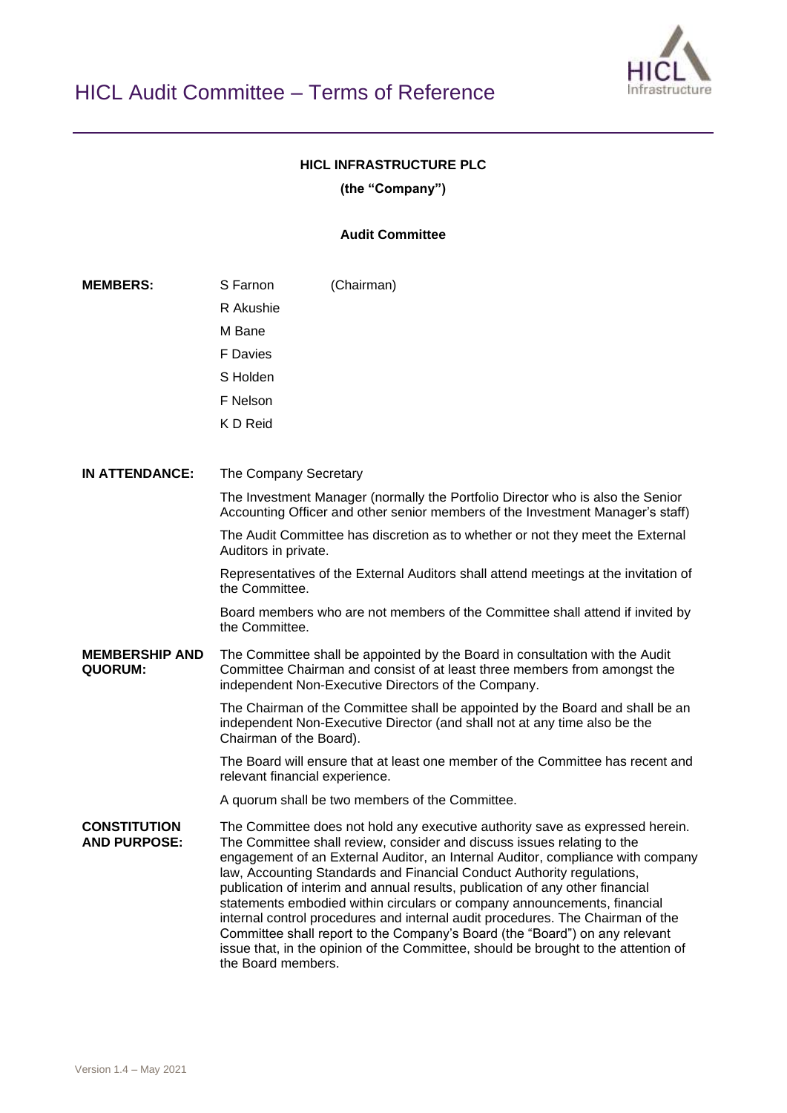

## **HICL INFRASTRUCTURE PLC**

**(the "Company")**

## **Audit Committee**

**MEMBERS:** S Farnon R Akushie M Bane F Davies S Holden F Nelson K D Reid (Chairman) **IN ATTENDANCE:** The Company Secretary The Investment Manager (normally the Portfolio Director who is also the Senior Accounting Officer and other senior members of the Investment Manager's staff) The Audit Committee has discretion as to whether or not they meet the External Auditors in private. Representatives of the External Auditors shall attend meetings at the invitation of the Committee. Board members who are not members of the Committee shall attend if invited by the Committee. **MEMBERSHIP AND QUORUM:** The Committee shall be appointed by the Board in consultation with the Audit Committee Chairman and consist of at least three members from amongst the independent Non-Executive Directors of the Company. The Chairman of the Committee shall be appointed by the Board and shall be an independent Non-Executive Director (and shall not at any time also be the Chairman of the Board). The Board will ensure that at least one member of the Committee has recent and relevant financial experience. A quorum shall be two members of the Committee. **CONSTITUTION AND PURPOSE:** The Committee does not hold any executive authority save as expressed herein. The Committee shall review, consider and discuss issues relating to the engagement of an External Auditor, an Internal Auditor, compliance with company law, Accounting Standards and Financial Conduct Authority regulations, publication of interim and annual results, publication of any other financial statements embodied within circulars or company announcements, financial internal control procedures and internal audit procedures. The Chairman of the Committee shall report to the Company's Board (the "Board") on any relevant issue that, in the opinion of the Committee, should be brought to the attention of the Board members.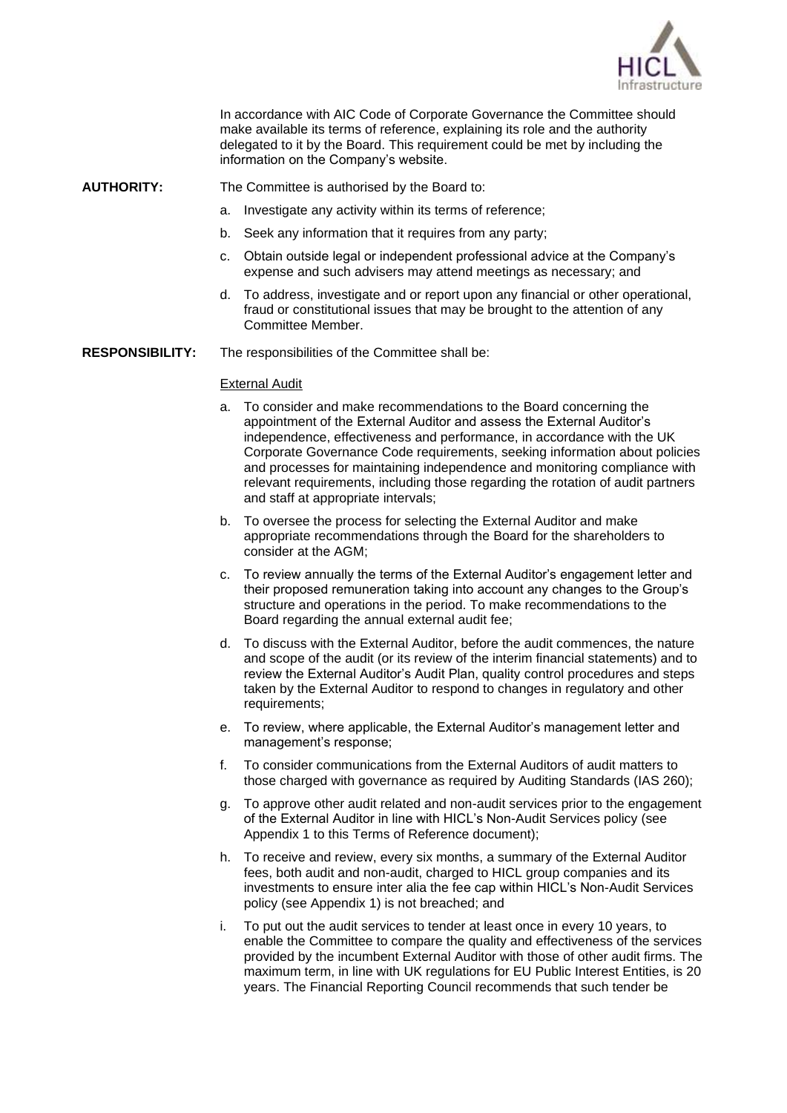

In accordance with AIC Code of Corporate Governance the Committee should make available its terms of reference, explaining its role and the authority delegated to it by the Board. This requirement could be met by including the information on the Company's website.

- **AUTHORITY:** The Committee is authorised by the Board to:
	- a. Investigate any activity within its terms of reference;
	- b. Seek any information that it requires from any party;
	- c. Obtain outside legal or independent professional advice at the Company's expense and such advisers may attend meetings as necessary; and
	- d. To address, investigate and or report upon any financial or other operational, fraud or constitutional issues that may be brought to the attention of any Committee Member.
- **RESPONSIBILITY:** The responsibilities of the Committee shall be:

### External Audit

- a. To consider and make recommendations to the Board concerning the appointment of the External Auditor and assess the External Auditor's independence, effectiveness and performance, in accordance with the UK Corporate Governance Code requirements, seeking information about policies and processes for maintaining independence and monitoring compliance with relevant requirements, including those regarding the rotation of audit partners and staff at appropriate intervals;
- b. To oversee the process for selecting the External Auditor and make appropriate recommendations through the Board for the shareholders to consider at the AGM;
- c. To review annually the terms of the External Auditor's engagement letter and their proposed remuneration taking into account any changes to the Group's structure and operations in the period. To make recommendations to the Board regarding the annual external audit fee;
- d. To discuss with the External Auditor, before the audit commences, the nature and scope of the audit (or its review of the interim financial statements) and to review the External Auditor's Audit Plan, quality control procedures and steps taken by the External Auditor to respond to changes in regulatory and other requirements:
- e. To review, where applicable, the External Auditor's management letter and management's response;
- f. To consider communications from the External Auditors of audit matters to those charged with governance as required by Auditing Standards (IAS 260);
- g. To approve other audit related and non-audit services prior to the engagement of the External Auditor in line with HICL's Non-Audit Services policy (see Appendix 1 to this Terms of Reference document);
- h. To receive and review, every six months, a summary of the External Auditor fees, both audit and non-audit, charged to HICL group companies and its investments to ensure inter alia the fee cap within HICL's Non-Audit Services policy (see Appendix 1) is not breached; and
- i. To put out the audit services to tender at least once in every 10 years, to enable the Committee to compare the quality and effectiveness of the services provided by the incumbent External Auditor with those of other audit firms. The maximum term, in line with UK regulations for EU Public Interest Entities, is 20 years. The Financial Reporting Council recommends that such tender be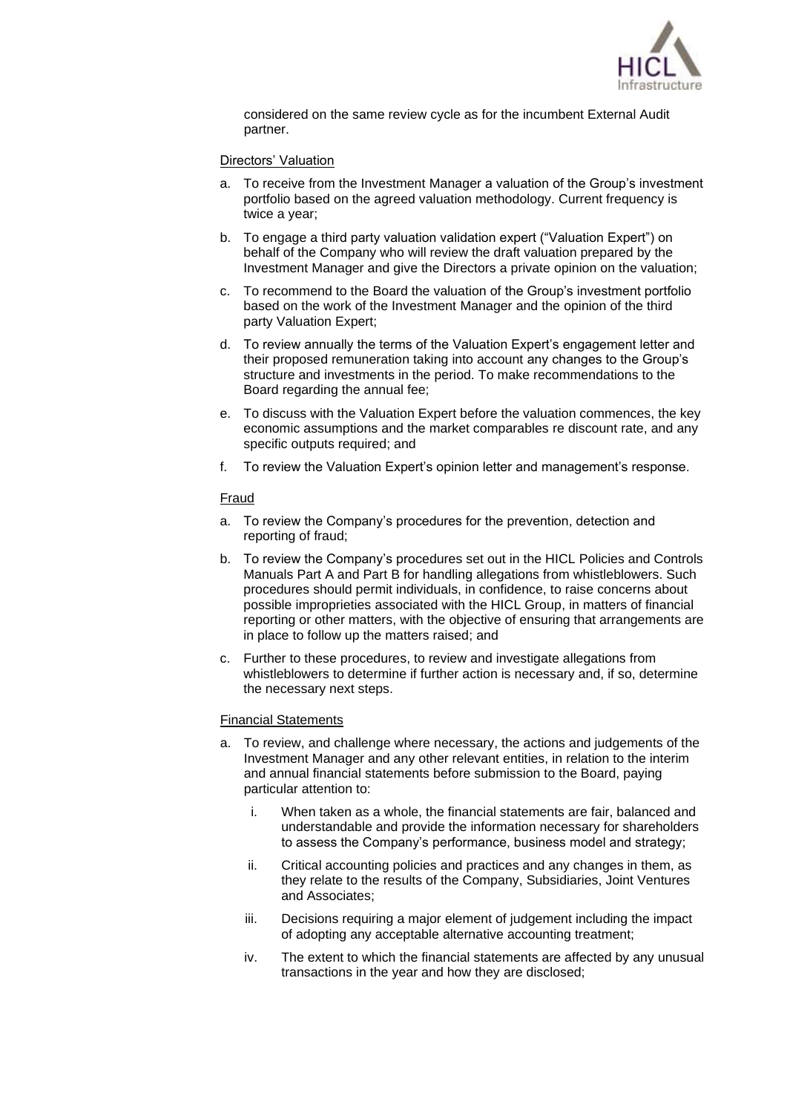

considered on the same review cycle as for the incumbent External Audit partner.

### Directors' Valuation

- a. To receive from the Investment Manager a valuation of the Group's investment portfolio based on the agreed valuation methodology. Current frequency is twice a year;
- b. To engage a third party valuation validation expert ("Valuation Expert") on behalf of the Company who will review the draft valuation prepared by the Investment Manager and give the Directors a private opinion on the valuation;
- c. To recommend to the Board the valuation of the Group's investment portfolio based on the work of the Investment Manager and the opinion of the third party Valuation Expert;
- d. To review annually the terms of the Valuation Expert's engagement letter and their proposed remuneration taking into account any changes to the Group's structure and investments in the period. To make recommendations to the Board regarding the annual fee;
- e. To discuss with the Valuation Expert before the valuation commences, the key economic assumptions and the market comparables re discount rate, and any specific outputs required; and
- f. To review the Valuation Expert's opinion letter and management's response.

### Fraud

- a. To review the Company's procedures for the prevention, detection and reporting of fraud;
- b. To review the Company's procedures set out in the HICL Policies and Controls Manuals Part A and Part B for handling allegations from whistleblowers. Such procedures should permit individuals, in confidence, to raise concerns about possible improprieties associated with the HICL Group, in matters of financial reporting or other matters, with the objective of ensuring that arrangements are in place to follow up the matters raised; and
- c. Further to these procedures, to review and investigate allegations from whistleblowers to determine if further action is necessary and, if so, determine the necessary next steps.

### Financial Statements

- a. To review, and challenge where necessary, the actions and judgements of the Investment Manager and any other relevant entities, in relation to the interim and annual financial statements before submission to the Board, paying particular attention to:
	- i. When taken as a whole, the financial statements are fair, balanced and understandable and provide the information necessary for shareholders to assess the Company's performance, business model and strategy;
	- ii. Critical accounting policies and practices and any changes in them, as they relate to the results of the Company, Subsidiaries, Joint Ventures and Associates;
	- iii. Decisions requiring a major element of judgement including the impact of adopting any acceptable alternative accounting treatment;
	- iv. The extent to which the financial statements are affected by any unusual transactions in the year and how they are disclosed;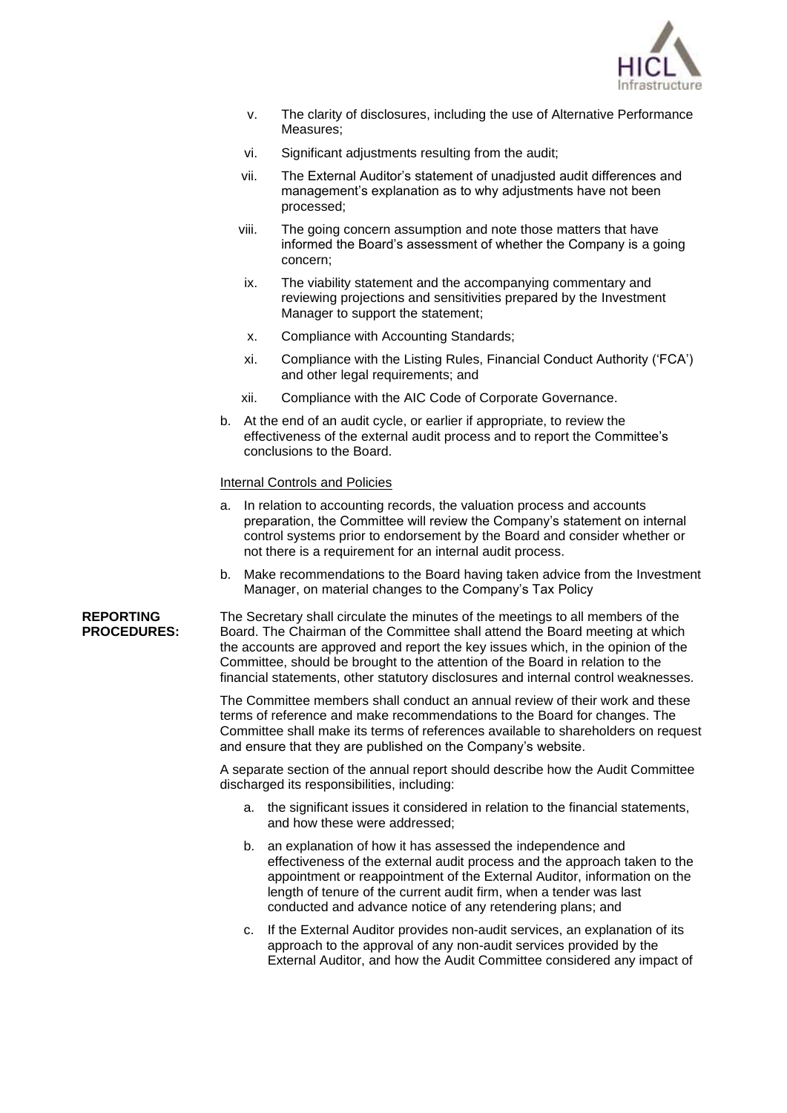

- v. The clarity of disclosures, including the use of Alternative Performance Measures;
- vi. Significant adjustments resulting from the audit;
- vii. The External Auditor's statement of unadjusted audit differences and management's explanation as to why adjustments have not been processed;
- viii. The going concern assumption and note those matters that have informed the Board's assessment of whether the Company is a going concern;
- ix. The viability statement and the accompanying commentary and reviewing projections and sensitivities prepared by the Investment Manager to support the statement;
- x. Compliance with Accounting Standards;
- xi. Compliance with the Listing Rules, Financial Conduct Authority ('FCA') and other legal requirements; and
- xii. Compliance with the AIC Code of Corporate Governance.
- b. At the end of an audit cycle, or earlier if appropriate, to review the effectiveness of the external audit process and to report the Committee's conclusions to the Board.

### Internal Controls and Policies

- a. In relation to accounting records, the valuation process and accounts preparation, the Committee will review the Company's statement on internal control systems prior to endorsement by the Board and consider whether or not there is a requirement for an internal audit process.
- b. Make recommendations to the Board having taken advice from the Investment Manager, on material changes to the Company's Tax Policy

**REPORTING PROCEDURES:** The Secretary shall circulate the minutes of the meetings to all members of the Board. The Chairman of the Committee shall attend the Board meeting at which the accounts are approved and report the key issues which, in the opinion of the Committee, should be brought to the attention of the Board in relation to the financial statements, other statutory disclosures and internal control weaknesses.

> The Committee members shall conduct an annual review of their work and these terms of reference and make recommendations to the Board for changes. The Committee shall make its terms of references available to shareholders on request and ensure that they are published on the Company's website.

A separate section of the annual report should describe how the Audit Committee discharged its responsibilities, including:

- a. the significant issues it considered in relation to the financial statements, and how these were addressed;
- b. an explanation of how it has assessed the independence and effectiveness of the external audit process and the approach taken to the appointment or reappointment of the External Auditor, information on the length of tenure of the current audit firm, when a tender was last conducted and advance notice of any retendering plans; and
- c. If the External Auditor provides non-audit services, an explanation of its approach to the approval of any non-audit services provided by the External Auditor, and how the Audit Committee considered any impact of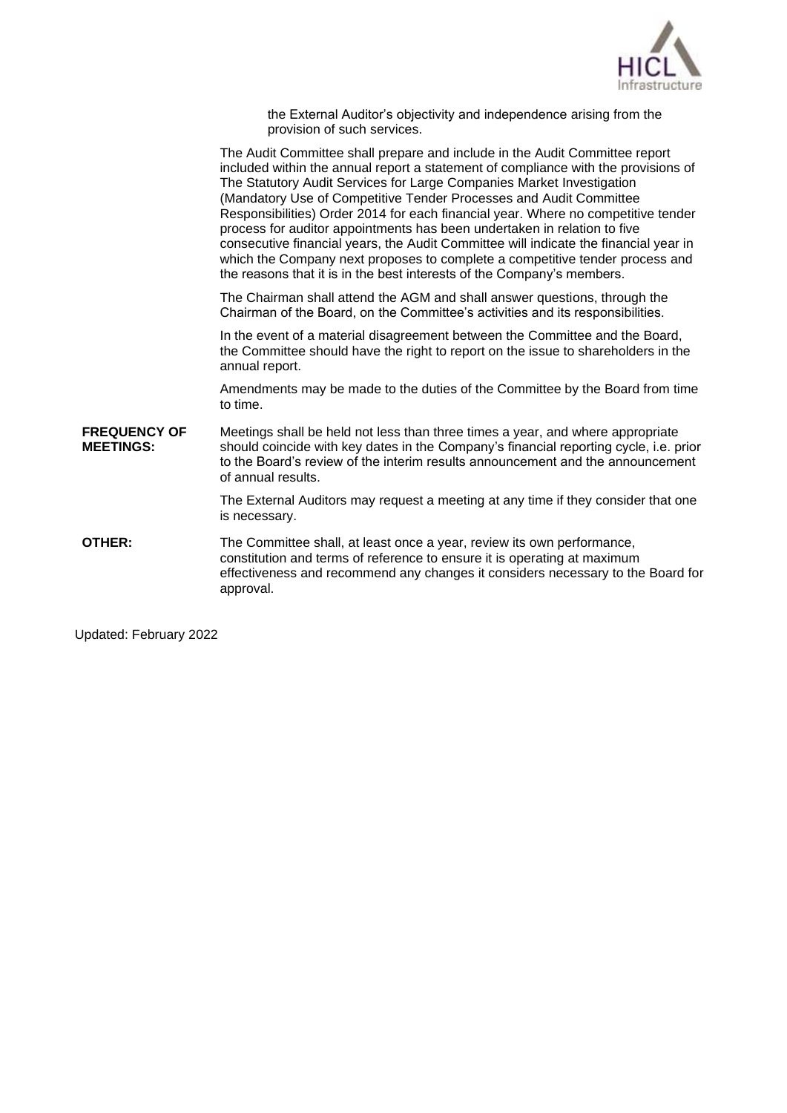

the External Auditor's objectivity and independence arising from the provision of such services.

The Audit Committee shall prepare and include in the Audit Committee report included within the annual report a statement of compliance with the provisions of The Statutory Audit Services for Large Companies Market Investigation (Mandatory Use of Competitive Tender Processes and Audit Committee Responsibilities) Order 2014 for each financial year. Where no competitive tender process for auditor appointments has been undertaken in relation to five consecutive financial years, the Audit Committee will indicate the financial year in which the Company next proposes to complete a competitive tender process and the reasons that it is in the best interests of the Company's members. The Chairman shall attend the AGM and shall answer questions, through the Chairman of the Board, on the Committee's activities and its responsibilities. In the event of a material disagreement between the Committee and the Board, the Committee should have the right to report on the issue to shareholders in the annual report. Amendments may be made to the duties of the Committee by the Board from time to time. **FREQUENCY OF MEETINGS:** Meetings shall be held not less than three times a year, and where appropriate should coincide with key dates in the Company's financial reporting cycle, i.e. prior to the Board's review of the interim results announcement and the announcement of annual results. The External Auditors may request a meeting at any time if they consider that one is necessary. **OTHER:** The Committee shall, at least once a year, review its own performance, constitution and terms of reference to ensure it is operating at maximum effectiveness and recommend any changes it considers necessary to the Board for approval.

Updated: February 2022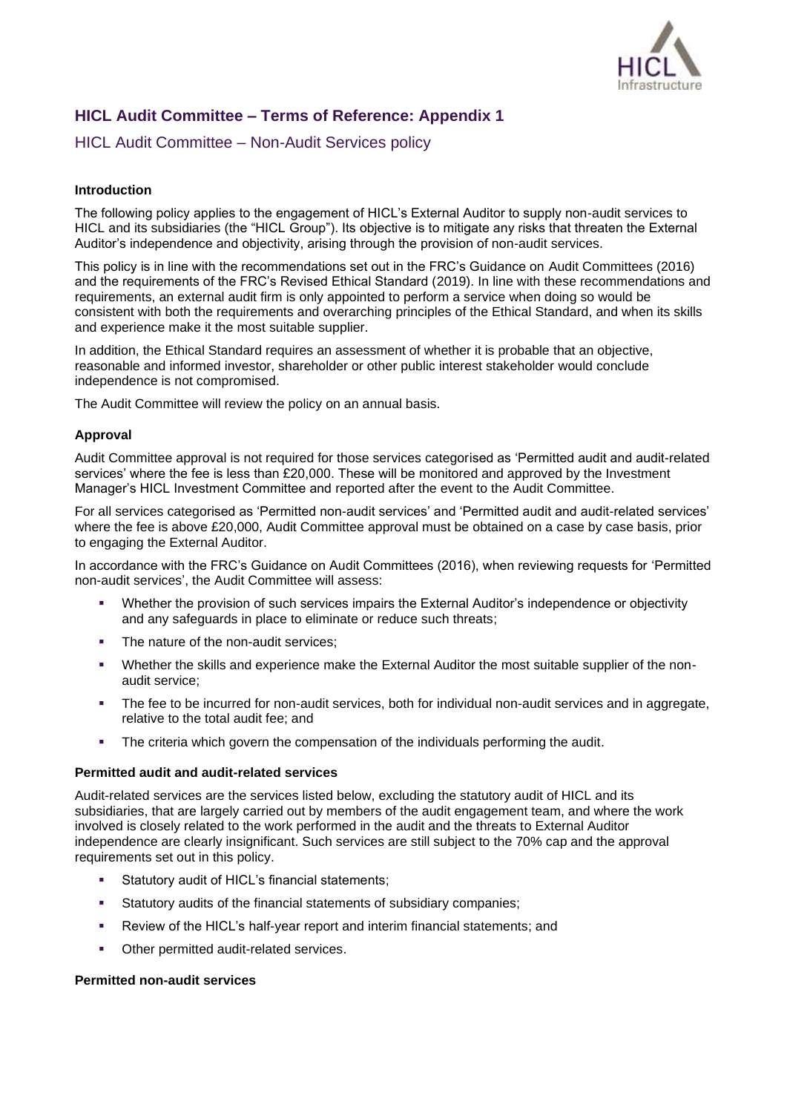

# **HICL Audit Committee – Terms of Reference: Appendix 1**

HICL Audit Committee – Non-Audit Services policy

## **Introduction**

The following policy applies to the engagement of HICL's External Auditor to supply non-audit services to HICL and its subsidiaries (the "HICL Group"). Its objective is to mitigate any risks that threaten the External Auditor's independence and objectivity, arising through the provision of non-audit services.

This policy is in line with the recommendations set out in the FRC's Guidance on Audit Committees (2016) and the requirements of the FRC's Revised Ethical Standard (2019). In line with these recommendations and requirements, an external audit firm is only appointed to perform a service when doing so would be consistent with both the requirements and overarching principles of the Ethical Standard, and when its skills and experience make it the most suitable supplier.

In addition, the Ethical Standard requires an assessment of whether it is probable that an objective, reasonable and informed investor, shareholder or other public interest stakeholder would conclude independence is not compromised.

The Audit Committee will review the policy on an annual basis.

## **Approval**

Audit Committee approval is not required for those services categorised as 'Permitted audit and audit-related services' where the fee is less than £20,000. These will be monitored and approved by the Investment Manager's HICL Investment Committee and reported after the event to the Audit Committee.

For all services categorised as 'Permitted non-audit services' and 'Permitted audit and audit-related services' where the fee is above £20,000. Audit Committee approval must be obtained on a case by case basis, prior to engaging the External Auditor.

In accordance with the FRC's Guidance on Audit Committees (2016), when reviewing requests for 'Permitted non-audit services', the Audit Committee will assess:

- Whether the provision of such services impairs the External Auditor's independence or objectivity and any safeguards in place to eliminate or reduce such threats;
- The nature of the non-audit services;
- Whether the skills and experience make the External Auditor the most suitable supplier of the nonaudit service;
- The fee to be incurred for non-audit services, both for individual non-audit services and in aggregate, relative to the total audit fee; and
- The criteria which govern the compensation of the individuals performing the audit.

## **Permitted audit and audit-related services**

Audit-related services are the services listed below, excluding the statutory audit of HICL and its subsidiaries, that are largely carried out by members of the audit engagement team, and where the work involved is closely related to the work performed in the audit and the threats to External Auditor independence are clearly insignificant. Such services are still subject to the 70% cap and the approval requirements set out in this policy.

- Statutory audit of HICL's financial statements;
- Statutory audits of the financial statements of subsidiary companies;
- Review of the HICL's half-year report and interim financial statements; and
- Other permitted audit-related services.

## **Permitted non-audit services**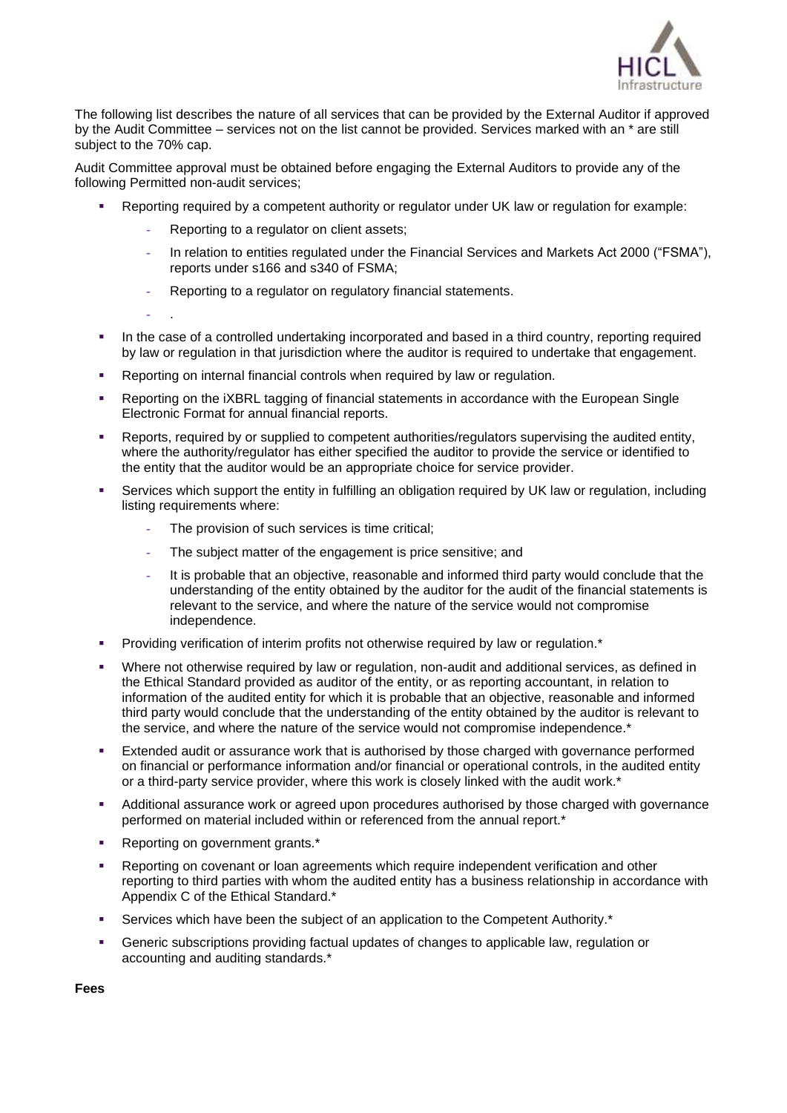

The following list describes the nature of all services that can be provided by the External Auditor if approved by the Audit Committee – services not on the list cannot be provided. Services marked with an \* are still subject to the 70% cap.

Audit Committee approval must be obtained before engaging the External Auditors to provide any of the following Permitted non-audit services;

- Reporting required by a competent authority or regulator under UK law or regulation for example:
	- Reporting to a regulator on client assets;
	- In relation to entities regulated under the Financial Services and Markets Act 2000 ("FSMA"), reports under s166 and s340 of FSMA;
	- Reporting to a regulator on regulatory financial statements.

- .

- In the case of a controlled undertaking incorporated and based in a third country, reporting required by law or regulation in that jurisdiction where the auditor is required to undertake that engagement.
- Reporting on internal financial controls when required by law or regulation.
- Reporting on the iXBRL tagging of financial statements in accordance with the European Single Electronic Format for annual financial reports.
- **•** Reports, required by or supplied to competent authorities/regulators supervising the audited entity, where the authority/regulator has either specified the auditor to provide the service or identified to the entity that the auditor would be an appropriate choice for service provider.
- Services which support the entity in fulfilling an obligation required by UK law or regulation, including listing requirements where:
	- The provision of such services is time critical;
	- The subject matter of the engagement is price sensitive; and
	- It is probable that an objective, reasonable and informed third party would conclude that the understanding of the entity obtained by the auditor for the audit of the financial statements is relevant to the service, and where the nature of the service would not compromise independence.
- Providing verification of interim profits not otherwise required by law or regulation.<sup>\*</sup>
- Where not otherwise required by law or regulation, non-audit and additional services, as defined in the Ethical Standard provided as auditor of the entity, or as reporting accountant, in relation to information of the audited entity for which it is probable that an objective, reasonable and informed third party would conclude that the understanding of the entity obtained by the auditor is relevant to the service, and where the nature of the service would not compromise independence.\*
- **Extended audit or assurance work that is authorised by those charged with governance performed** on financial or performance information and/or financial or operational controls, in the audited entity or a third-party service provider, where this work is closely linked with the audit work.\*
- Additional assurance work or agreed upon procedures authorised by those charged with governance performed on material included within or referenced from the annual report.\*
- Reporting on government grants.\*
- Reporting on covenant or loan agreements which require independent verification and other reporting to third parties with whom the audited entity has a business relationship in accordance with Appendix C of the Ethical Standard.\*
- Services which have been the subject of an application to the Competent Authority.\*
- Generic subscriptions providing factual updates of changes to applicable law, regulation or accounting and auditing standards.\*

**Fees**